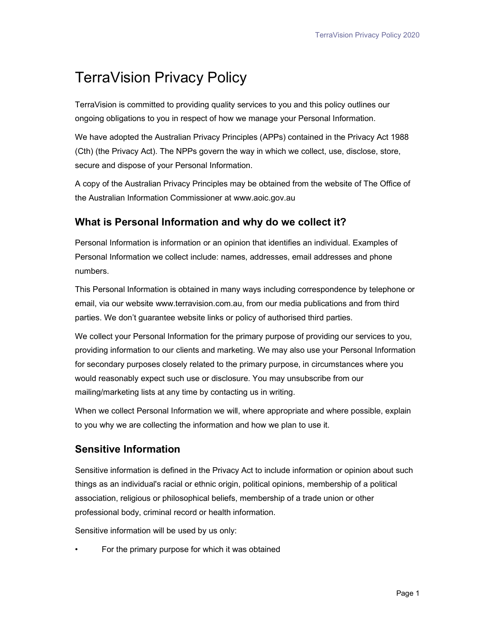# TerraVision Privacy Policy

TerraVision is committed to providing quality services to you and this policy outlines our ongoing obligations to you in respect of how we manage your Personal Information.

We have adopted the Australian Privacy Principles (APPs) contained in the Privacy Act 1988 (Cth) (the Privacy Act). The NPPs govern the way in which we collect, use, disclose, store, secure and dispose of your Personal Information.

A copy of the Australian Privacy Principles may be obtained from the website of The Office of the Australian Information Commissioner at www.aoic.gov.au

### What is Personal Information and why do we collect it?

Personal Information is information or an opinion that identifies an individual. Examples of Personal Information we collect include: names, addresses, email addresses and phone numbers.

This Personal Information is obtained in many ways including correspondence by telephone or email, via our website www.terravision.com.au, from our media publications and from third parties. We don't guarantee website links or policy of authorised third parties.

We collect your Personal Information for the primary purpose of providing our services to you, providing information to our clients and marketing. We may also use your Personal Information for secondary purposes closely related to the primary purpose, in circumstances where you would reasonably expect such use or disclosure. You may unsubscribe from our mailing/marketing lists at any time by contacting us in writing.

When we collect Personal Information we will, where appropriate and where possible, explain to you why we are collecting the information and how we plan to use it.

## Sensitive Information

Sensitive information is defined in the Privacy Act to include information or opinion about such things as an individual's racial or ethnic origin, political opinions, membership of a political association, religious or philosophical beliefs, membership of a trade union or other professional body, criminal record or health information.

Sensitive information will be used by us only:

For the primary purpose for which it was obtained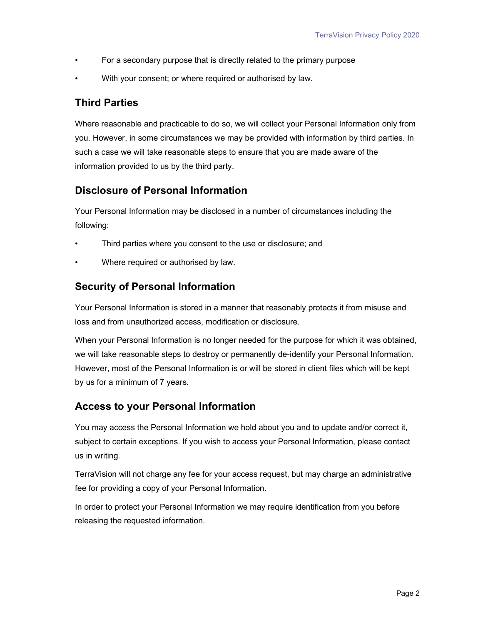- For a secondary purpose that is directly related to the primary purpose
- With your consent; or where required or authorised by law.

#### Third Parties

Where reasonable and practicable to do so, we will collect your Personal Information only from you. However, in some circumstances we may be provided with information by third parties. In such a case we will take reasonable steps to ensure that you are made aware of the information provided to us by the third party.

#### Disclosure of Personal Information

Your Personal Information may be disclosed in a number of circumstances including the following:

- Third parties where you consent to the use or disclosure; and
- Where required or authorised by law.

#### Security of Personal Information

Your Personal Information is stored in a manner that reasonably protects it from misuse and loss and from unauthorized access, modification or disclosure.

When your Personal Information is no longer needed for the purpose for which it was obtained, we will take reasonable steps to destroy or permanently de-identify your Personal Information. However, most of the Personal Information is or will be stored in client files which will be kept by us for a minimum of 7 years.

#### Access to your Personal Information

You may access the Personal Information we hold about you and to update and/or correct it, subject to certain exceptions. If you wish to access your Personal Information, please contact us in writing.

TerraVision will not charge any fee for your access request, but may charge an administrative fee for providing a copy of your Personal Information.

In order to protect your Personal Information we may require identification from you before releasing the requested information.